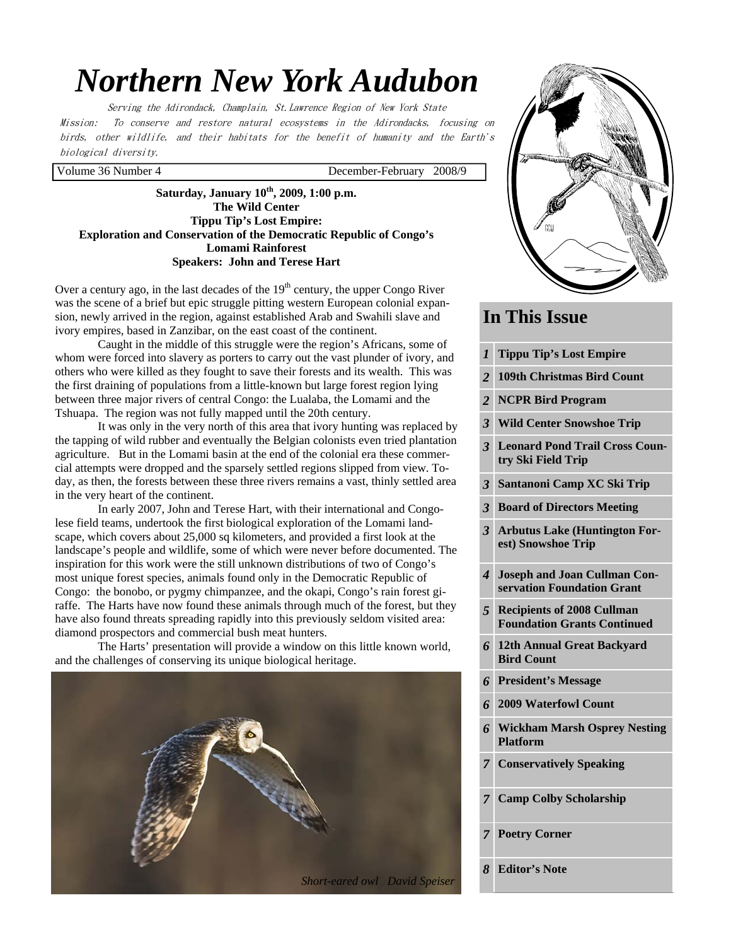# *Northern New York Audubon*

Serving the Adirondack, Champlain, St.Lawrence Region of New York State Mission: To conserve and restore natural ecosystems in the Adirondacks, focusing on birds, other wildlife, and their habitats for the benefit of humanity and the Earth's biological diversity.

Volume 36 Number 4 December-February 2008/9

**Saturday, January 10th, 2009, 1:00 p.m. The Wild Center Tippu Tip's Lost Empire: Exploration and Conservation of the Democratic Republic of Congo's Lomami Rainforest Speakers: John and Terese Hart** 

Over a century ago, in the last decades of the  $19<sup>th</sup>$  century, the upper Congo River was the scene of a brief but epic struggle pitting western European colonial expansion, newly arrived in the region, against established Arab and Swahili slave and ivory empires, based in Zanzibar, on the east coast of the continent.

 Caught in the middle of this struggle were the region's Africans, some of whom were forced into slavery as porters to carry out the vast plunder of ivory, and others who were killed as they fought to save their forests and its wealth. This was the first draining of populations from a little-known but large forest region lying between three major rivers of central Congo: the Lualaba, the Lomami and the Tshuapa. The region was not fully mapped until the 20th century.

It was only in the very north of this area that ivory hunting was replaced by the tapping of wild rubber and eventually the Belgian colonists even tried plantation agriculture. But in the Lomami basin at the end of the colonial era these commercial attempts were dropped and the sparsely settled regions slipped from view. Today, as then, the forests between these three rivers remains a vast, thinly settled area in the very heart of the continent.

In early 2007, John and Terese Hart, with their international and Congolese field teams, undertook the first biological exploration of the Lomami landscape, which covers about 25,000 sq kilometers, and provided a first look at the landscape's people and wildlife, some of which were never before documented. The inspiration for this work were the still unknown distributions of two of Congo's most unique forest species, animals found only in the Democratic Republic of Congo: the bonobo, or pygmy chimpanzee, and the okapi, Congo's rain forest giraffe. The Harts have now found these animals through much of the forest, but they have also found threats spreading rapidly into this previously seldom visited area: diamond prospectors and commercial bush meat hunters.

The Harts' presentation will provide a window on this little known world, and the challenges of conserving its unique biological heritage.





# **In This Issue**

| $\mathbf{I}$   | <b>Tippu Tip's Lost Empire</b>                                          |
|----------------|-------------------------------------------------------------------------|
| $\overline{2}$ | <b>109th Christmas Bird Count</b>                                       |
| 2              | <b>NCPR Bird Program</b>                                                |
| 3              | <b>Wild Center Snowshoe Trip</b>                                        |
| 3              | <b>Leonard Pond Trail Cross Coun-</b><br>try Ski Field Trip             |
| 3              | Santanoni Camp XC Ski Trip                                              |
| 3              | <b>Board of Directors Meeting</b>                                       |
| 3              | <b>Arbutus Lake (Huntington For-</b><br>est) Snowshoe Trip              |
| 4              | <b>Joseph and Joan Cullman Con-</b><br>servation Foundation Grant       |
| 5              | <b>Recipients of 2008 Cullman</b><br><b>Foundation Grants Continued</b> |

- *6* **12th Annual Great Backyard Bird Count**
- *6* **President's Message**
- *6* **2009 Waterfowl Count**
- *6* **Wickham Marsh Osprey Nesting Platform**
- *7* **Conservatively Speaking**
- *7* **Camp Colby Scholarship**
- *7* **Poetry Corner**
- *8* **Editor's Note**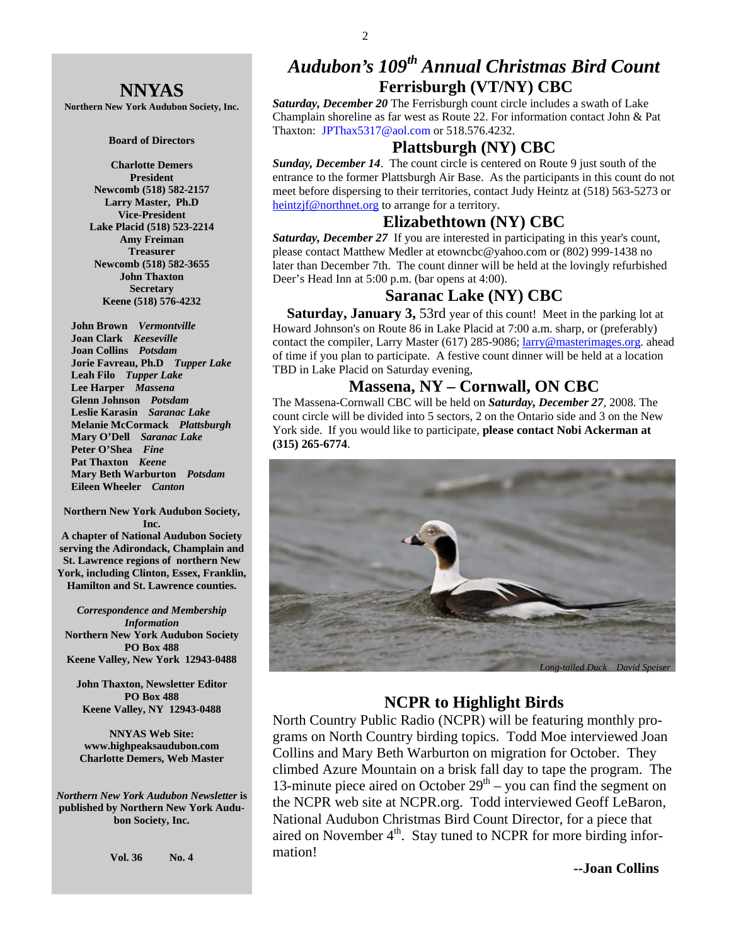# **NNYAS**

**Northern New York Audubon Society, Inc.** 

#### **Board of Directors**

**Charlotte Demers President Newcomb (518) 582-2157 Larry Master, Ph.D Vice-President Lake Placid (518) 523-2214 Amy Freiman Treasurer Newcomb (518) 582-3655 John Thaxton Secretary Keene (518) 576-4232** 

 **John Brown** *Vermontville*  **Joan Clark** *Keeseville*  **Joan Collins** *Potsdam*   **Jorie Favreau, Ph.D** *Tupper Lake*  **Leah Filo** *Tupper Lake*  **Lee Harper** *Massena*   **Glenn Johnson** *Potsdam*   **Leslie Karasin** *Saranac Lake*  **Melanie McCormack** *Plattsburgh*   **Mary O'Dell** *Saranac Lake*  **Peter O'Shea** *Fine*   **Pat Thaxton** *Keene*   **Mary Beth Warburton** *Potsdam*   **Eileen Wheeler** *Canton* 

**Northern New York Audubon Society, Inc. A chapter of National Audubon Society serving the Adirondack, Champlain and St. Lawrence regions of northern New York, including Clinton, Essex, Franklin, Hamilton and St. Lawrence counties.** 

*Correspondence and Membership Information* **Northern New York Audubon Society PO Box 488 Keene Valley, New York 12943-0488** 

**John Thaxton, Newsletter Editor PO Box 488 Keene Valley, NY 12943-0488** 

**NNYAS Web Site: www.highpeaksaudubon.com Charlotte Demers, Web Master** 

*Northern New York Audubon Newsletter* **is published by Northern New York Audubon Society, Inc.** 

**Vol. 36 No. 4** 

# *Audubon's 109th Annual Christmas Bird Count*  **Ferrisburgh (VT/NY) CBC**

*Saturday, December 20* The Ferrisburgh count circle includes a swath of Lake Champlain shoreline as far west as Route 22. For information contact John & Pat Thaxton: JPThax5317@aol.com or 518.576.4232.

## **Plattsburgh (NY) CBC**

*Sunday, December 14*. The count circle is centered on Route 9 just south of the entrance to the former Plattsburgh Air Base. As the participants in this count do not meet before dispersing to their territories, contact Judy Heintz at (518) 563-5273 or heintzjf@northnet.org to arrange for a territory.

## **Elizabethtown (NY) CBC**

*Saturday, December 27* If you are interested in participating in this year's count, please contact Matthew Medler at etowncbc@yahoo.com or (802) 999-1438 no later than December 7th. The count dinner will be held at the lovingly refurbished Deer's Head Inn at 5:00 p.m. (bar opens at 4:00).

## **Saranac Lake (NY) CBC**

**Saturday, January 3,** 53rd year of this count! Meet in the parking lot at Howard Johnson's on Route 86 in Lake Placid at 7:00 a.m. sharp, or (preferably) contact the compiler, Larry Master (617) 285-9086; larry@masterimages.org. ahead of time if you plan to participate. A festive count dinner will be held at a location TBD in Lake Placid on Saturday evening,

# **Massena, NY – Cornwall, ON CBC**

The Massena-Cornwall CBC will be held on *Saturday, December 27*, 2008. The count circle will be divided into 5 sectors, 2 on the Ontario side and 3 on the New York side. If you would like to participate, **please contact Nobi Ackerman at (315) 265-6774**.



# **NCPR to Highlight Birds**

North Country Public Radio (NCPR) will be featuring monthly programs on North Country birding topics. Todd Moe interviewed Joan Collins and Mary Beth Warburton on migration for October. They climbed Azure Mountain on a brisk fall day to tape the program. The 13-minute piece aired on October  $29<sup>th</sup> - you can find the segment on$ the NCPR web site at NCPR.org. Todd interviewed Geoff LeBaron, National Audubon Christmas Bird Count Director, for a piece that aired on November  $4<sup>th</sup>$ . Stay tuned to NCPR for more birding information!

**--Joan Collins**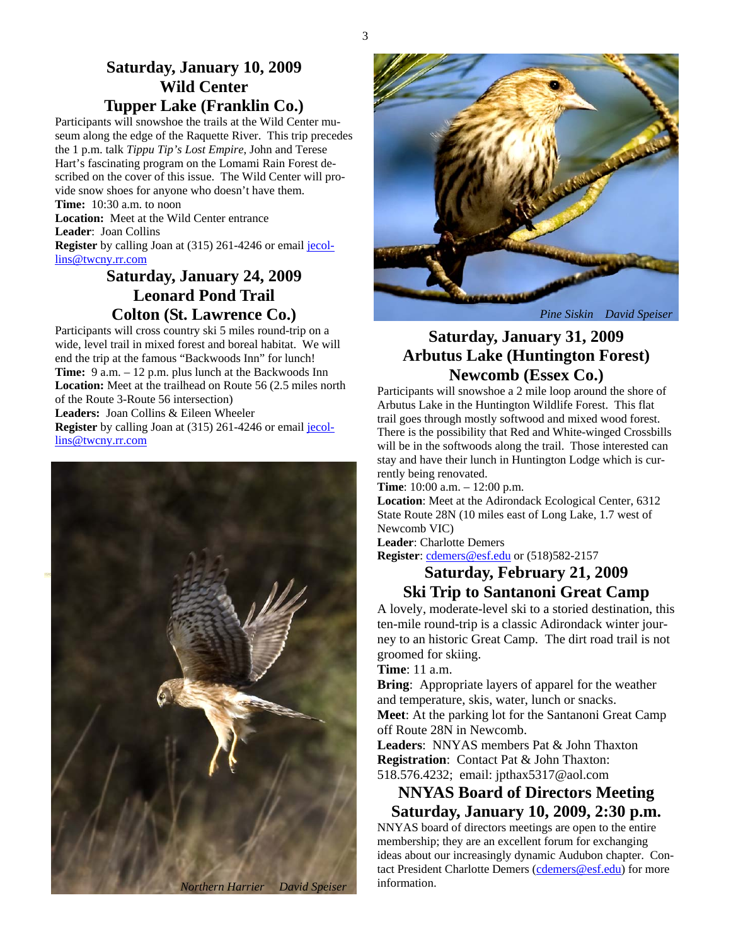# **Saturday, January 10, 2009 Wild Center Tupper Lake (Franklin Co.)**

Participants will snowshoe the trails at the Wild Center museum along the edge of the Raquette River. This trip precedes the 1 p.m. talk *Tippu Tip's Lost Empire*, John and Terese Hart's fascinating program on the Lomami Rain Forest described on the cover of this issue. The Wild Center will provide snow shoes for anyone who doesn't have them. **Time:** 10:30 a.m. to noon

**Location:** Meet at the Wild Center entrance **Leader**: Joan Collins

**Register** by calling Joan at (315) 261-4246 or email jecollins@twcny.rr.com

# **Saturday, January 24, 2009 Leonard Pond Trail Colton (St. Lawrence Co.)**

Participants will cross country ski 5 miles round-trip on a wide, level trail in mixed forest and boreal habitat. We will end the trip at the famous "Backwoods Inn" for lunch! **Time:** 9 a.m. – 12 p.m. plus lunch at the Backwoods Inn **Location:** Meet at the trailhead on Route 56 (2.5 miles north of the Route 3-Route 56 intersection)

**Leaders:** Joan Collins & Eileen Wheeler **Register** by calling Joan at (315) 261-4246 or email jecollins@twcny.rr.com





 *Pine Siskin David Speiser* 

# **Saturday, January 31, 2009 Arbutus Lake (Huntington Forest) Newcomb (Essex Co.)**

Participants will snowshoe a 2 mile loop around the shore of Arbutus Lake in the Huntington Wildlife Forest. This flat trail goes through mostly softwood and mixed wood forest. There is the possibility that Red and White-winged Crossbills will be in the softwoods along the trail. Those interested can stay and have their lunch in Huntington Lodge which is currently being renovated.

**Time**: 10:00 a.m. – 12:00 p.m.

**Location**: Meet at the Adirondack Ecological Center, 6312 State Route 28N (10 miles east of Long Lake, 1.7 west of Newcomb VIC)

**Leader**: Charlotte Demers

**Register**: cdemers@esf.edu or (518)582-2157

# **Saturday, February 21, 2009 Ski Trip to Santanoni Great Camp**

A lovely, moderate-level ski to a storied destination, this ten-mile round-trip is a classic Adirondack winter journey to an historic Great Camp. The dirt road trail is not groomed for skiing.

**Time**: 11 a.m.

**Bring**: Appropriate layers of apparel for the weather and temperature, skis, water, lunch or snacks. **Meet**: At the parking lot for the Santanoni Great Camp

off Route 28N in Newcomb.

**Leaders**: NNYAS members Pat & John Thaxton **Registration**: Contact Pat & John Thaxton: 518.576.4232; email: jpthax5317@aol.com

# **NNYAS Board of Directors Meeting Saturday, January 10, 2009, 2:30 p.m.**

NNYAS board of directors meetings are open to the entire membership; they are an excellent forum for exchanging ideas about our increasingly dynamic Audubon chapter. Contact President Charlotte Demers (cdemers@esf.edu) for more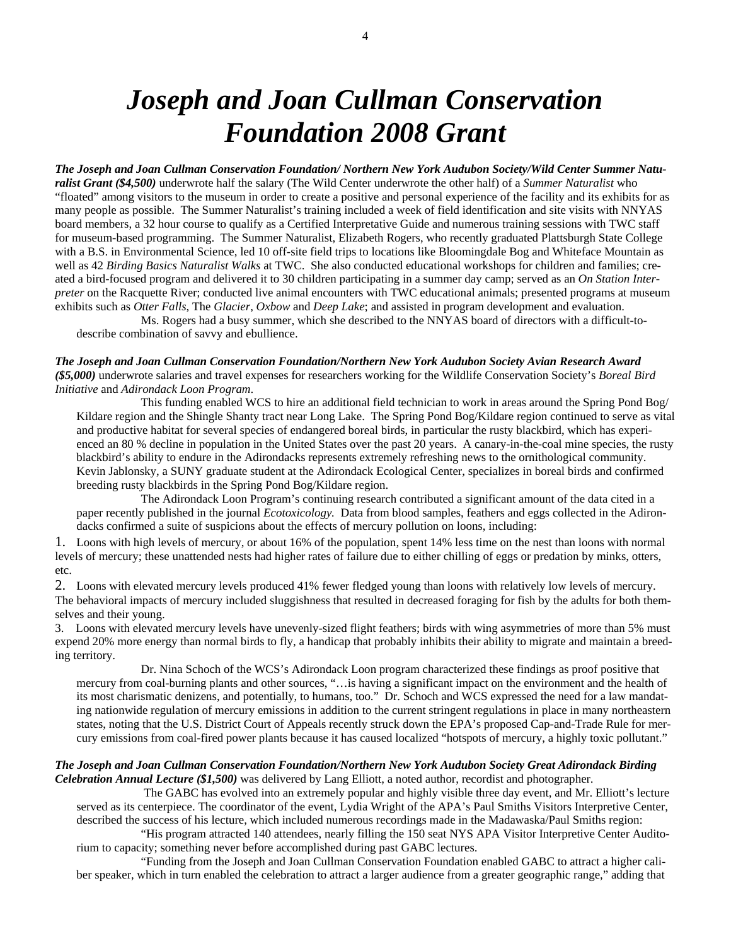# *Joseph and Joan Cullman Conservation Foundation 2008 Grant*

*The Joseph and Joan Cullman Conservation Foundation/ Northern New York Audubon Society/Wild Center Summer Naturalist Grant (\$4,500)* underwrote half the salary (The Wild Center underwrote the other half) of a *Summer Naturalist* who "floated" among visitors to the museum in order to create a positive and personal experience of the facility and its exhibits for as many people as possible. The Summer Naturalist's training included a week of field identification and site visits with NNYAS board members, a 32 hour course to qualify as a Certified Interpretative Guide and numerous training sessions with TWC staff for museum-based programming. The Summer Naturalist, Elizabeth Rogers, who recently graduated Plattsburgh State College with a B.S. in Environmental Science, led 10 off-site field trips to locations like Bloomingdale Bog and Whiteface Mountain as well as 42 *Birding Basics Naturalist Walks* at TWC. She also conducted educational workshops for children and families; created a bird-focused program and delivered it to 30 children participating in a summer day camp; served as an *On Station Interpreter* on the Racquette River; conducted live animal encounters with TWC educational animals; presented programs at museum exhibits such as *Otter Falls*, The *Glacier*, *Oxbow* and *Deep Lake*; and assisted in program development and evaluation.

 Ms. Rogers had a busy summer, which she described to the NNYAS board of directors with a difficult-todescribe combination of savvy and ebullience.

#### *The Joseph and Joan Cullman Conservation Foundation/Northern New York Audubon Society Avian Research Award (\$5,000)* underwrote salaries and travel expenses for researchers working for the Wildlife Conservation Society's *Boreal Bird Initiative* and *Adirondack Loon Program*.

 This funding enabled WCS to hire an additional field technician to work in areas around the Spring Pond Bog/ Kildare region and the Shingle Shanty tract near Long Lake. The Spring Pond Bog/Kildare region continued to serve as vital and productive habitat for several species of endangered boreal birds, in particular the rusty blackbird, which has experienced an 80 % decline in population in the United States over the past 20 years. A canary-in-the-coal mine species, the rusty blackbird's ability to endure in the Adirondacks represents extremely refreshing news to the ornithological community. Kevin Jablonsky, a SUNY graduate student at the Adirondack Ecological Center, specializes in boreal birds and confirmed breeding rusty blackbirds in the Spring Pond Bog/Kildare region.

 The Adirondack Loon Program's continuing research contributed a significant amount of the data cited in a paper recently published in the journal *Ecotoxicology.* Data from blood samples, feathers and eggs collected in the Adirondacks confirmed a suite of suspicions about the effects of mercury pollution on loons, including:

1. Loons with high levels of mercury, or about 16% of the population, spent 14% less time on the nest than loons with normal levels of mercury; these unattended nests had higher rates of failure due to either chilling of eggs or predation by minks, otters, etc.

2. Loons with elevated mercury levels produced 41% fewer fledged young than loons with relatively low levels of mercury. The behavioral impacts of mercury included sluggishness that resulted in decreased foraging for fish by the adults for both themselves and their young.

3. Loons with elevated mercury levels have unevenly-sized flight feathers; birds with wing asymmetries of more than 5% must expend 20% more energy than normal birds to fly, a handicap that probably inhibits their ability to migrate and maintain a breeding territory.

 Dr. Nina Schoch of the WCS's Adirondack Loon program characterized these findings as proof positive that mercury from coal-burning plants and other sources, "…is having a significant impact on the environment and the health of its most charismatic denizens, and potentially, to humans, too." Dr. Schoch and WCS expressed the need for a law mandating nationwide regulation of mercury emissions in addition to the current stringent regulations in place in many northeastern states, noting that the U.S. District Court of Appeals recently struck down the EPA's proposed Cap-and-Trade Rule for mercury emissions from coal-fired power plants because it has caused localized "hotspots of mercury, a highly toxic pollutant."

#### *The Joseph and Joan Cullman Conservation Foundation/Northern New York Audubon Society Great Adirondack Birding Celebration Annual Lecture (\$1,500)* was delivered by Lang Elliott, a noted author, recordist and photographer.

 The GABC has evolved into an extremely popular and highly visible three day event, and Mr. Elliott's lecture served as its centerpiece. The coordinator of the event, Lydia Wright of the APA's Paul Smiths Visitors Interpretive Center, described the success of his lecture, which included numerous recordings made in the Madawaska/Paul Smiths region:

 "His program attracted 140 attendees, nearly filling the 150 seat NYS APA Visitor Interpretive Center Auditorium to capacity; something never before accomplished during past GABC lectures.

 "Funding from the Joseph and Joan Cullman Conservation Foundation enabled GABC to attract a higher caliber speaker, which in turn enabled the celebration to attract a larger audience from a greater geographic range," adding that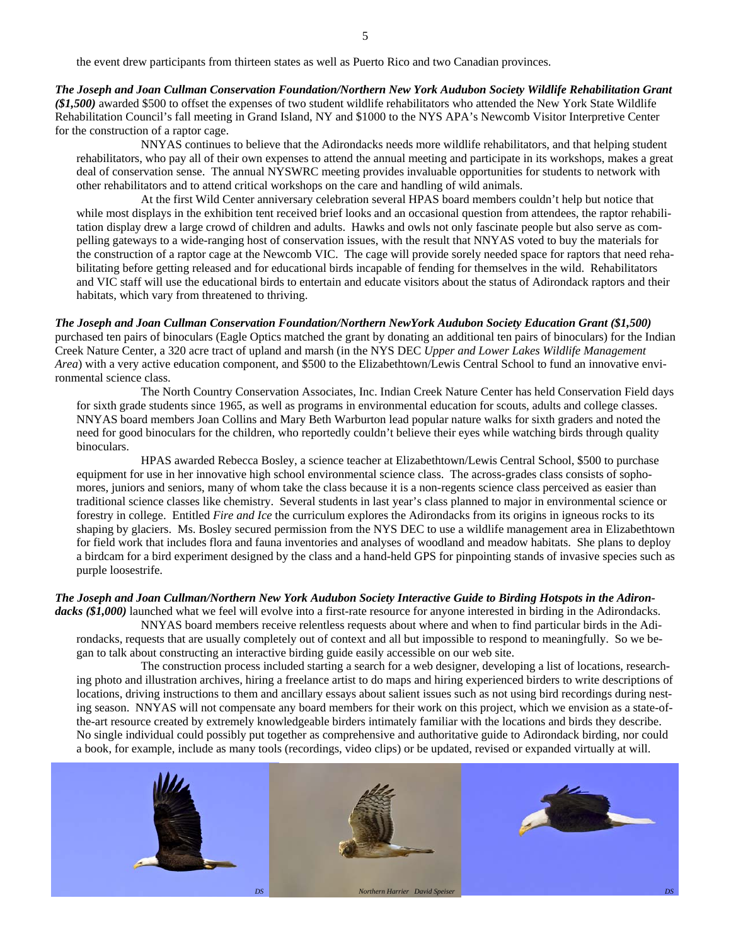*The Joseph and Joan Cullman Conservation Foundation/Northern New York Audubon Society Wildlife Rehabilitation Grant (\$1,500)* awarded \$500 to offset the expenses of two student wildlife rehabilitators who attended the New York State Wildlife Rehabilitation Council's fall meeting in Grand Island, NY and \$1000 to the NYS APA's Newcomb Visitor Interpretive Center for the construction of a raptor cage.

 NNYAS continues to believe that the Adirondacks needs more wildlife rehabilitators, and that helping student rehabilitators, who pay all of their own expenses to attend the annual meeting and participate in its workshops, makes a great deal of conservation sense. The annual NYSWRC meeting provides invaluable opportunities for students to network with other rehabilitators and to attend critical workshops on the care and handling of wild animals.

 At the first Wild Center anniversary celebration several HPAS board members couldn't help but notice that while most displays in the exhibition tent received brief looks and an occasional question from attendees, the raptor rehabilitation display drew a large crowd of children and adults. Hawks and owls not only fascinate people but also serve as compelling gateways to a wide-ranging host of conservation issues, with the result that NNYAS voted to buy the materials for the construction of a raptor cage at the Newcomb VIC. The cage will provide sorely needed space for raptors that need rehabilitating before getting released and for educational birds incapable of fending for themselves in the wild. Rehabilitators and VIC staff will use the educational birds to entertain and educate visitors about the status of Adirondack raptors and their habitats, which vary from threatened to thriving.

*The Joseph and Joan Cullman Conservation Foundation/Northern NewYork Audubon Society Education Grant (\$1,500)* purchased ten pairs of binoculars (Eagle Optics matched the grant by donating an additional ten pairs of binoculars) for the Indian Creek Nature Center, a 320 acre tract of upland and marsh (in the NYS DEC *Upper and Lower Lakes Wildlife Management Area*) with a very active education component, and \$500 to the Elizabethtown/Lewis Central School to fund an innovative environmental science class.

 The North Country Conservation Associates, Inc. Indian Creek Nature Center has held Conservation Field days for sixth grade students since 1965, as well as programs in environmental education for scouts, adults and college classes. NNYAS board members Joan Collins and Mary Beth Warburton lead popular nature walks for sixth graders and noted the need for good binoculars for the children, who reportedly couldn't believe their eyes while watching birds through quality binoculars.

 HPAS awarded Rebecca Bosley, a science teacher at Elizabethtown/Lewis Central School, \$500 to purchase equipment for use in her innovative high school environmental science class. The across-grades class consists of sophomores, juniors and seniors, many of whom take the class because it is a non-regents science class perceived as easier than traditional science classes like chemistry. Several students in last year's class planned to major in environmental science or forestry in college. Entitled *Fire and Ice* the curriculum explores the Adirondacks from its origins in igneous rocks to its shaping by glaciers. Ms. Bosley secured permission from the NYS DEC to use a wildlife management area in Elizabethtown for field work that includes flora and fauna inventories and analyses of woodland and meadow habitats. She plans to deploy a birdcam for a bird experiment designed by the class and a hand-held GPS for pinpointing stands of invasive species such as purple loosestrife.

#### *The Joseph and Joan Cullman/Northern New York Audubon Society Interactive Guide to Birding Hotspots in the Adiron-*

dacks (\$1,000) launched what we feel will evolve into a first-rate resource for anyone interested in birding in the Adirondacks. NNYAS board members receive relentless requests about where and when to find particular birds in the Adirondacks, requests that are usually completely out of context and all but impossible to respond to meaningfully. So we began to talk about constructing an interactive birding guide easily accessible on our web site.

 The construction process included starting a search for a web designer, developing a list of locations, researching photo and illustration archives, hiring a freelance artist to do maps and hiring experienced birders to write descriptions of locations, driving instructions to them and ancillary essays about salient issues such as not using bird recordings during nesting season. NNYAS will not compensate any board members for their work on this project, which we envision as a state-ofthe-art resource created by extremely knowledgeable birders intimately familiar with the locations and birds they describe. No single individual could possibly put together as comprehensive and authoritative guide to Adirondack birding, nor could a book, for example, include as many tools (recordings, video clips) or be updated, revised or expanded virtually at will.

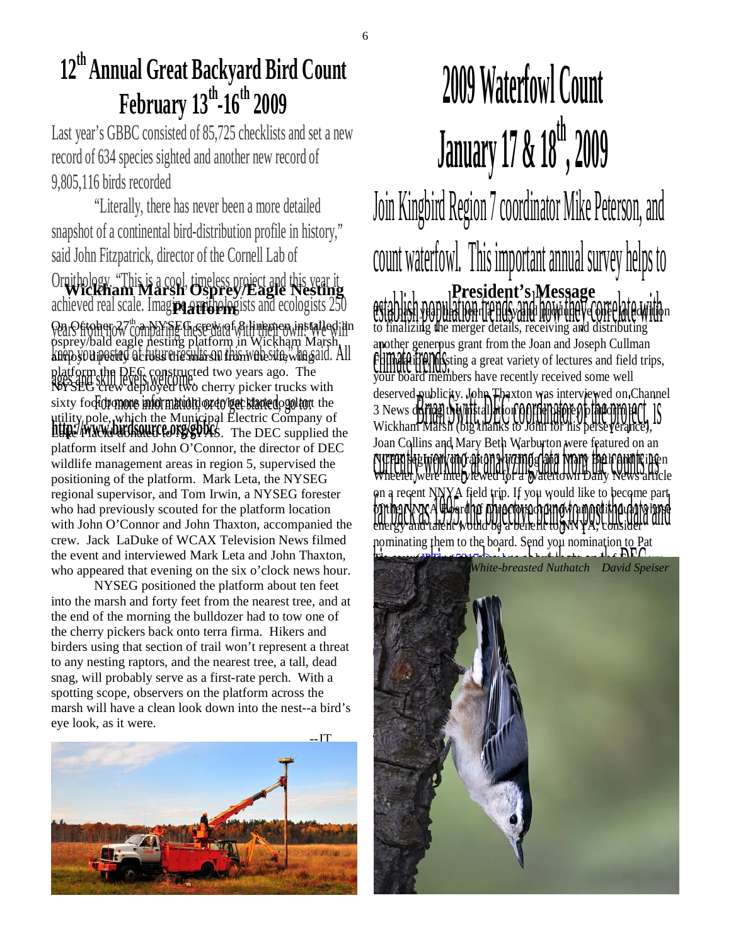# **<sup>12</sup>th Annual Great Backyard Bird Count February 13th-16th 2009**

Last year's GBBC consisted of 85,725 checklists and set a new record of 634 species sighted and another new record of 9,805,116 birds recorded

"Literally, there has never been a more detailed snapshot of a continental bird-distribution profile in history," said John Fitzpatrick, director of the Cornell Lab of Ornithology. "This is a cool, timeless project and this year it achieved real scale. Imag**ine orifficiolog**ists and ecologists 250 years from now comparing these data with their own! We will ktigto you iposteg at futur chestilar an frashwere sitte wiltigald. All platform the DEC constructed two years ago. The<br>REC-CHL SKILL LYCIS WOODHO, charry picker trucks w sixty foot dromore informatudit! or to 'get started, gol tort the **http://www.burgsource.org/gbbc/s.** The DEC supplied the **Wickham Marsh Osprey/Eagle Nesting Platform**  $\mathcal{Q}$ n Oftober $\mathcal{U}^{\text{th}}$  com NYSEG crew of  $\mathcal{S}$ th nemen installed itn osprey/bald eagle nesting platform in Wickham Marsh, kneto yo u ipostag ac folls the stills shi from van stile win ga NYSEG crew deployed two cherry picker trucks with utility pole, which the Municipal Electric Company of platform itself and John O'Connor, the director of DEC wildlife management areas in region 5, supervised the positioning of the platform. Mark Leta, the NYSEG regional supervisor, and Tom Irwin, a NYSEG forester who had previously scouted for the platform location with John O'Connor and John Thaxton, accompanied the crew. Jack LaDuke of WCAX Television News filmed the event and interviewed Mark Leta and John Thaxton, who appeared that evening on the six o'clock news hour.

 NYSEG positioned the platform about ten feet into the marsh and forty feet from the nearest tree, and at the end of the morning the bulldozer had to tow one of the cherry pickers back onto terra firma. Hikers and birders using that section of trail won't represent a threat to any nesting raptors, and the nearest tree, a tall, dead snag, will probably serve as a first-rate perch. With a spotting scope, observers on the platform across the marsh will have a clean look down into the nest--a bird's eye look, as it were.







6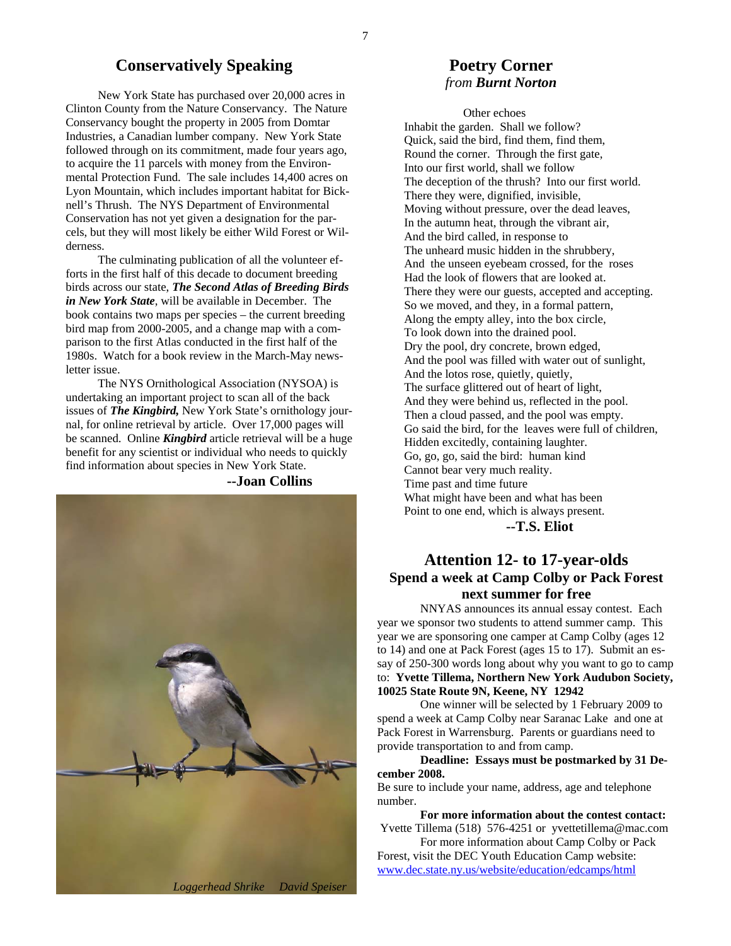## **Conservatively Speaking**

New York State has purchased over 20,000 acres in Clinton County from the Nature Conservancy. The Nature Conservancy bought the property in 2005 from Domtar Industries, a Canadian lumber company. New York State followed through on its commitment, made four years ago, to acquire the 11 parcels with money from the Environmental Protection Fund. The sale includes 14,400 acres on Lyon Mountain, which includes important habitat for Bicknell's Thrush. The NYS Department of Environmental Conservation has not yet given a designation for the parcels, but they will most likely be either Wild Forest or Wilderness.

The culminating publication of all the volunteer efforts in the first half of this decade to document breeding birds across our state, *The Second Atlas of Breeding Birds in New York State*, will be available in December. The book contains two maps per species – the current breeding bird map from 2000-2005, and a change map with a comparison to the first Atlas conducted in the first half of the 1980s. Watch for a book review in the March-May newsletter issue.

The NYS Ornithological Association (NYSOA) is undertaking an important project to scan all of the back issues of *The Kingbird,* New York State's ornithology journal, for online retrieval by article. Over 17,000 pages will be scanned. Online *Kingbird* article retrieval will be a huge benefit for any scientist or individual who needs to quickly find information about species in New York State.

**--Joan Collins** 



### **Poetry Corner**  *from Burnt Norton*

Other echoes

 Inhabit the garden. Shall we follow? Quick, said the bird, find them, find them, Round the corner. Through the first gate, Into our first world, shall we follow The deception of the thrush? Into our first world. There they were, dignified, invisible, Moving without pressure, over the dead leaves, In the autumn heat, through the vibrant air, And the bird called, in response to The unheard music hidden in the shrubbery, And the unseen eyebeam crossed, for the roses Had the look of flowers that are looked at. There they were our guests, accepted and accepting. So we moved, and they, in a formal pattern, Along the empty alley, into the box circle, To look down into the drained pool. Dry the pool, dry concrete, brown edged, And the pool was filled with water out of sunlight, And the lotos rose, quietly, quietly, The surface glittered out of heart of light, And they were behind us, reflected in the pool. Then a cloud passed, and the pool was empty. Go said the bird, for the leaves were full of children, Hidden excitedly, containing laughter. Go, go, go, said the bird: human kind Cannot bear very much reality. Time past and time future What might have been and what has been Point to one end, which is always present.

**--T.S. Eliot** 

# **Attention 12- to 17-year-olds Spend a week at Camp Colby or Pack Forest next summer for free**

 NNYAS announces its annual essay contest. Each year we sponsor two students to attend summer camp. This year we are sponsoring one camper at Camp Colby (ages 12 to 14) and one at Pack Forest (ages 15 to 17). Submit an essay of 250-300 words long about why you want to go to camp to: **Yvette Tillema, Northern New York Audubon Society, 10025 State Route 9N, Keene, NY 12942** 

 One winner will be selected by 1 February 2009 to spend a week at Camp Colby near Saranac Lake and one at Pack Forest in Warrensburg. Parents or guardians need to provide transportation to and from camp.

**Deadline: Essays must be postmarked by 31 December 2008.** 

Be sure to include your name, address, age and telephone number.

**For more information about the contest contact:** Yvette Tillema (518) 576-4251 or yvettetillema@mac.com

 For more information about Camp Colby or Pack Forest, visit the DEC Youth Education Camp website: www.dec.state.ny.us/website/education/edcamps/html